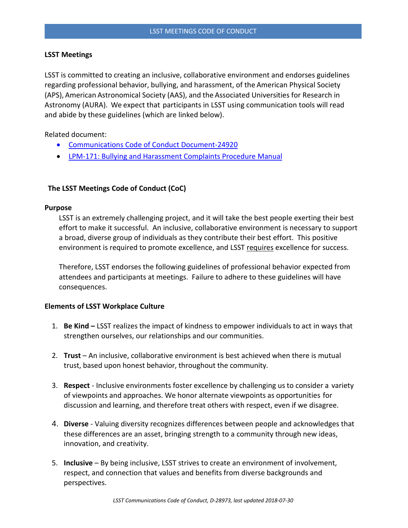# **LSST Meetings**

LSST is committed to creating an inclusive, collaborative environment and endorses guidelines regarding professional behavior, bullying, and harassment, of the American Physical Society (APS), American Astronomical Society (AAS), and the Associated Universities for Research in Astronomy (AURA). We expect that participants in LSST using communication tools will read and abide by these guidelines (which are linked below).

Related document:

- [Communications Code of Conduct Document-24920](https://docushare.lsst.org/docushare/dsweb/Get/Document-24920/LSST-Communications-Code-of-Conduct-V4c.pdf)
- [LPM-171: Bullying and Harassment Complaints Procedure Manual](https://docushare.lsstcorp.org/docushare/dsweb/Get/LPM-171/BullyingHarassmentComplaintsProcedure.pdf)

# **The LSST Meetings Code of Conduct (CoC)**

#### **Purpose**

LSST is an extremely challenging project, and it will take the best people exerting their best effort to make it successful. An inclusive, collaborative environment is necessary to support a broad, diverse group of individuals as they contribute their best effort. This positive environment is required to promote excellence, and LSST requires excellence for success.

Therefore, LSST endorses the following guidelines of professional behavior expected from attendees and participants at meetings. Failure to adhere to these guidelines will have consequences.

# **Elements of LSST Workplace Culture**

- 1. **Be Kind –** LSST realizes the impact of kindness to empower individuals to act in ways that strengthen ourselves, our relationships and our communities.
- 2. **Trust** An inclusive, collaborative environment is best achieved when there is mutual trust, based upon honest behavior, throughout the community.
- 3. **Respect** Inclusive environments foster excellence by challenging us to consider a variety of viewpoints and approaches. We honor alternate viewpoints as opportunities for discussion and learning, and therefore treat others with respect, even if we disagree.
- 4. **Diverse** Valuing diversity recognizes differences between people and acknowledges that these differences are an asset, bringing strength to a community through new ideas, innovation, and creativity.
- 5. **Inclusive** By being inclusive, LSST strives to create an environment of involvement, respect, and connection that values and benefits from diverse backgrounds and perspectives.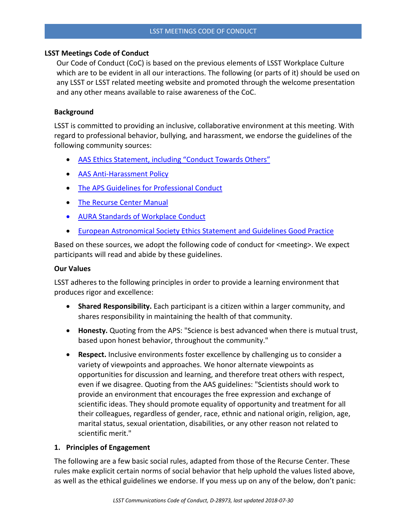# **LSST Meetings Code of Conduct**

Our Code of Conduct (CoC) is based on the previous elements of LSST Workplace Culture which are to be evident in all our interactions. The following (or parts of it) should be used on any LSST or LSST related meeting website and promoted through the welcome presentation and any other means available to raise awareness of the CoC.

# **Background**

LSST is committed to providing an inclusive, collaborative environment at this meeting. With regard to professional behavior, bullying, and harassment, we endorse the guidelines of the following community sources:

- [AAS Ethics Statement, including "Conduct Towards Others"](https://aas.org/about/policies/aas-ethics-statement)
- [AAS Anti-Harassment Policy](https://aas.org/policies/anti-harassment-policy-aas-division-meetings-activities)
- [The APS Guidelines for Professional Conduct](https://www.aps.org/policy/statements/02_2.cfm)
- [The Recurse Center Manual](https://www.recurse.com/manual#sec-environment)
- [AURA Standards of Workplace Conduct](https://policies.aura-astronomy.org/B/B25)%20B-XXV-Standards%20of%20Workplace%20Conduct.pdf)
- [European Astronomical Society Ethics Statement and Guidelines Good Practice](http://eas.unige.ch/documents/EAS_Ethics_Statement.pdf)

Based on these sources, we adopt the following code of conduct for <meeting>. We expect participants will read and abide by these guidelines.

#### **Our Values**

LSST adheres to the following principles in order to provide a learning environment that produces rigor and excellence:

- **Shared Responsibility.** Each participant is a citizen within a larger community, and shares responsibility in maintaining the health of that community.
- **Honesty.** Quoting from the APS: "Science is best advanced when there is mutual trust, based upon honest behavior, throughout the community."
- **Respect.** Inclusive environments foster excellence by challenging us to consider a variety of viewpoints and approaches. We honor alternate viewpoints as opportunities for discussion and learning, and therefore treat others with respect, even if we disagree. Quoting from the AAS guidelines: "Scientists should work to provide an environment that encourages the free expression and exchange of scientific ideas. They should promote equality of opportunity and treatment for all their colleagues, regardless of gender, race, ethnic and national origin, religion, age, marital status, sexual orientation, disabilities, or any other reason not related to scientific merit."

# **1. Principles of Engagement**

The following are a few basic social rules, adapted from those of the Recurse Center. These rules make explicit certain norms of social behavior that help uphold the values listed above, as well as the ethical guidelines we endorse. If you mess up on any of the below, don't panic: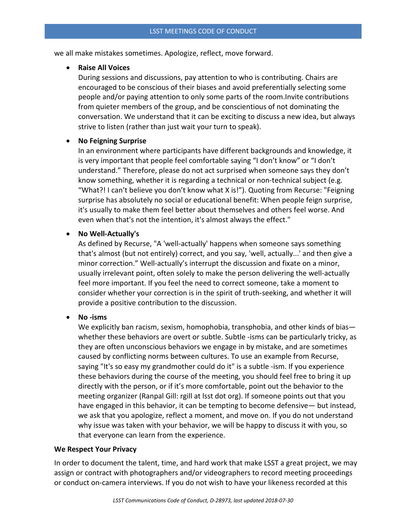we all make mistakes sometimes. Apologize, reflect, move forward.

# • **Raise All Voices**

During sessions and discussions, pay attention to who is contributing. Chairs are encouraged to be conscious of their biases and avoid preferentially selecting some people and/or paying attention to only some parts of the room.Invite contributions from quieter members of the group, and be conscientious of not dominating the conversation. We understand that it can be exciting to discuss a new idea, but always strive to listen (rather than just wait your turn to speak).

# • **No Feigning Surprise**

In an environment where participants have different backgrounds and knowledge, it is very important that people feel comfortable saying "I don't know" or "I don't understand." Therefore, please do not act surprised when someone says they don't know something, whether it is regarding a technical or non-technical subject (e.g. "What?! I can't believe you don't know what X is!"). Quoting from Recurse: "Feigning surprise has absolutely no social or educational benefit: When people feign surprise, it's usually to make them feel better about themselves and others feel worse. And even when that's not the intention, it's almost always the effect."

# • **No Well-Actually's**

As defined by Recurse, "A 'well-actually' happens when someone says something that's almost (but not entirely) correct, and you say, 'well, actually...' and then give a minor correction." Well-actually's interrupt the discussion and fixate on a minor, usually irrelevant point, often solely to make the person delivering the well-actually feel more important. If you feel the need to correct someone, take a moment to consider whether your correction is in the spirit of truth-seeking, and whether it will provide a positive contribution to the discussion.

# • **No -isms**

We explicitly ban racism, sexism, homophobia, transphobia, and other kinds of bias whether these behaviors are overt or subtle. Subtle -isms can be particularly tricky, as they are often unconscious behaviors we engage in by mistake, and are sometimes caused by conflicting norms between cultures. To use an example from Recurse, saying "It's so easy my grandmother could do it" is a subtle -ism. If you experience these behaviors during the course of the meeting, you should feel free to bring it up directly with the person, or if it's more comfortable, point out the behavior to the meeting organizer (Ranpal Gill: rgill at lsst dot org). If someone points out that you have engaged in this behavior, it can be tempting to become defensive— but instead, we ask that you apologize, reflect a moment, and move on. If you do not understand why issue was taken with your behavior, we will be happy to discuss it with you, so that everyone can learn from the experience.

# **We Respect Your Privacy**

In order to document the talent, time, and hard work that make LSST a great project, we may assign or contract with photographers and/or videographers to record meeting proceedings or conduct on-camera interviews. If you do not wish to have your likeness recorded at this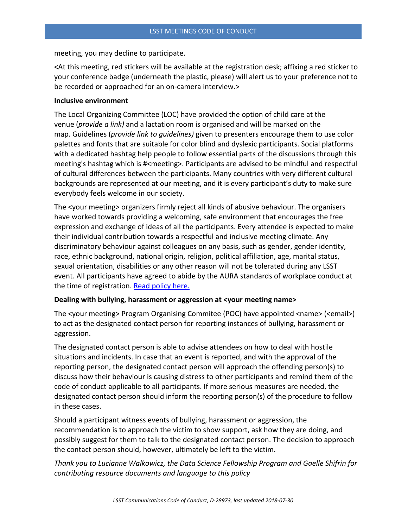meeting, you may decline to participate.

<At this meeting, red stickers will be available at the registration desk; affixing a red sticker to your conference badge (underneath the plastic, please) will alert us to your preference not to be recorded or approached for an on-camera interview.>

#### **Inclusive environment**

The Local Organizing Committee (LOC) have provided the option of child care at the venue (*provide a link)* and a lactation room is organised and will be marked on the map. Guidelines (*provide link to guidelines)* given to presenters encourage them to use color palettes and fonts that are suitable for color blind and dyslexic participants. Social platforms with a dedicated hashtag help people to follow essential parts of the discussions through this meeting's hashtag which is #<meeting>. Participants are advised to be mindful and respectful of cultural differences between the participants. Many countries with very different cultural backgrounds are represented at our meeting, and it is every participant's duty to make sure everybody feels welcome in our society.

The <your meeting> organizers firmly reject all kinds of abusive behaviour. The organisers have worked towards providing a welcoming, safe environment that encourages the free expression and exchange of ideas of all the participants. Every attendee is expected to make their individual contribution towards a respectful and inclusive meeting climate. Any discriminatory behaviour against colleagues on any basis, such as gender, gender identity, race, ethnic background, national origin, religion, political affiliation, age, marital status, sexual orientation, disabilities or any other reason will not be tolerated during any LSST event. All participants have agreed to abide by the AURA standards of workplace conduct at the time of registration. [Read policy here.](http://www.aura-astronomy.org/about/policies/Section%20B/B25)%20B-XXV-Standards%20of%20Workplace%20Conduct.pdf)

#### **Dealing with bullying, harassment or aggression at <your meeting name>**

The <your meeting> Program Organising Commitee (POC) have appointed <name> (<email>) to act as the designated contact person for reporting instances of bullying, harassment or aggression.

The designated contact person is able to advise attendees on how to deal with hostile situations and incidents. In case that an event is reported, and with the approval of the reporting person, the designated contact person will approach the offending person(s) to discuss how their behaviour is causing distress to other participants and remind them of the code of conduct applicable to all participants. If more serious measures are needed, the designated contact person should inform the reporting person(s) of the procedure to follow in these cases.

Should a participant witness events of bullying, harassment or aggression, the recommendation is to approach the victim to show support, ask how they are doing, and possibly suggest for them to talk to the designated contact person. The decision to approach the contact person should, however, ultimately be left to the victim.

*Thank you to Lucianne Walkowicz, the Data Science Fellowship Program and Gaelle Shifrin for contributing resource documents and language to this policy*